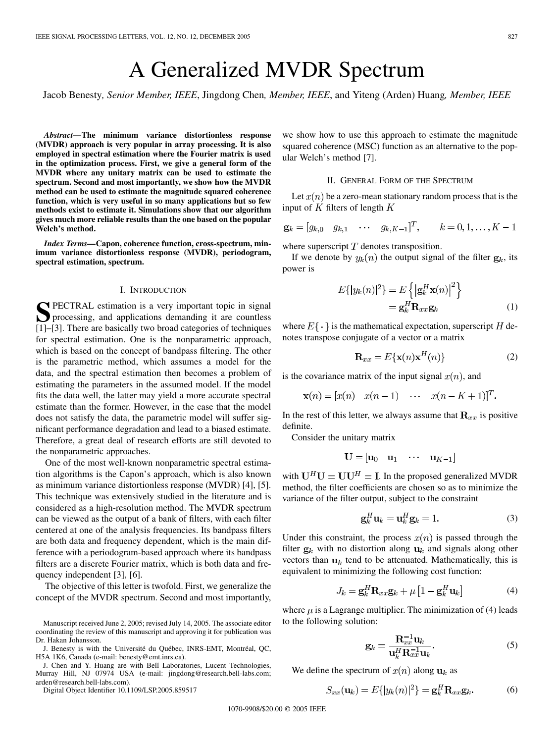# A Generalized MVDR Spectrum

Jacob Benesty*, Senior Member, IEEE*, Jingdong Chen*, Member, IEEE*, and Yiteng (Arden) Huang*, Member, IEEE*

*Abstract—***The minimum variance distortionless response (MVDR) approach is very popular in array processing. It is also employed in spectral estimation where the Fourier matrix is used in the optimization process. First, we give a general form of the MVDR where any unitary matrix can be used to estimate the spectrum. Second and most importantly, we show how the MVDR method can be used to estimate the magnitude squared coherence function, which is very useful in so many applications but so few methods exist to estimate it. Simulations show that our algorithm gives much more reliable results than the one based on the popular Welch's method.**

*Index Terms—***Capon, coherence function, cross-spectrum, minimum variance distortionless response (MVDR), periodogram, spectral estimation, spectrum.**

## I. INTRODUCTION

SPECTRAL estimation is a very important topic in signal<br>processing, and applications demanding it are countless<br>[11, [2] There are besically two breed estacration of tashrings [\[1](#page-3-0)]–[\[3\]](#page-3-0). There are basically two broad categories of techniques for spectral estimation. One is the nonparametric approach, which is based on the concept of bandpass filtering. The other is the parametric method, which assumes a model for the data, and the spectral estimation then becomes a problem of estimating the parameters in the assumed model. If the model fits the data well, the latter may yield a more accurate spectral estimate than the former. However, in the case that the model does not satisfy the data, the parametric model will suffer significant performance degradation and lead to a biased estimate. Therefore, a great deal of research efforts are still devoted to the nonparametric approaches.

One of the most well-known nonparametric spectral estimation algorithms is the Capon's approach, which is also known as minimum variance distortionless response (MVDR) [[4\]](#page-3-0), [\[5](#page-3-0)]. This technique was extensively studied in the literature and is considered as a high-resolution method. The MVDR spectrum can be viewed as the output of a bank of filters, with each filter centered at one of the analysis frequencies. Its bandpass filters are both data and frequency dependent, which is the main difference with a periodogram-based approach where its bandpass filters are a discrete Fourier matrix, which is both data and frequency independent [\[3](#page-3-0)], [\[6](#page-3-0)].

The objective of this letter is twofold. First, we generalize the concept of the MVDR spectrum. Second and most importantly,

J. Benesty is with the Université du Québec, INRS-EMT, Montréal, QC, H5A 1K6, Canada (e-mail: benesty@emt.inrs.ca).

J. Chen and Y. Huang are with Bell Laboratories, Lucent Technologies, Murray Hill, NJ 07974 USA (e-mail: jingdong@research.bell-labs.com; arden@research.bell-labs.com).

Digital Object Identifier 10.1109/LSP.2005.859517

we show how to use this approach to estimate the magnitude squared coherence (MSC) function as an alternative to the popular Welch's method [[7\]](#page-3-0).

## II. GENERAL FORM OF THE SPECTRUM

Let  $x(n)$  be a zero-mean stationary random process that is the input of  $K$  filters of length  $K$ 

$$
\mathbf{g}_k = [g_{k,0} \quad g_{k,1} \quad \cdots \quad g_{k,K-1}]^T, \qquad k = 0, 1, \ldots, K-1
$$

where superscript  $T$  denotes transposition.

If we denote by  $y_k(n)$  the output signal of the filter  $g_k$ , its power is

$$
E\{|y_k(n)|^2\} = E\left\{|g_k^H \mathbf{x}(n)|^2\right\}
$$
  
=  $g_k^H \mathbf{R}_{xx} g_k$  (1)

where  $E\{\cdot\}$  is the mathematical expectation, superscript H denotes transpose conjugate of a vector or a matrix

$$
\mathbf{R}_{xx} = E\{\mathbf{x}(n)\mathbf{x}^H(n)\}\tag{2}
$$

is the covariance matrix of the input signal  $x(n)$ , and

$$
\mathbf{x}(n) = [x(n) \quad x(n-1) \quad \cdots \quad x(n-K+1)]^T.
$$

In the rest of this letter, we always assume that  $\mathbf{R}_{xx}$  is positive definite.

Consider the unitary matrix

$$
\mathbf{U} = \begin{bmatrix} \mathbf{u}_0 & \mathbf{u}_1 & \cdots & \mathbf{u}_{K-1} \end{bmatrix}
$$

with  $U^H U = U U^H = I$ . In the proposed generalized MVDR method, the filter coefficients are chosen so as to minimize the variance of the filter output, subject to the constraint

$$
\mathbf{g}_k^H \mathbf{u}_k = \mathbf{u}_k^H \mathbf{g}_k = 1.
$$
 (3)

Under this constraint, the process  $x(n)$  is passed through the filter  $\mathbf{g}_k$  with no distortion along  $\mathbf{u}_k$  and signals along other vectors than  $u_k$  tend to be attenuated. Mathematically, this is equivalent to minimizing the following cost function:

$$
J_k = \mathbf{g}_k^H \mathbf{R}_{xx} \mathbf{g}_k + \mu \left[ 1 - \mathbf{g}_k^H \mathbf{u}_k \right]
$$
 (4)

where  $\mu$  is a Lagrange multiplier. The minimization of (4) leads to the following solution:

$$
\mathbf{g}_k = \frac{\mathbf{R}_{xx}^{-1} \mathbf{u}_k}{\mathbf{u}_k^H \mathbf{R}_{xx}^{-1} \mathbf{u}_k}.
$$
 (5)

We define the spectrum of  $x(n)$  along  $u_k$  as

$$
S_{xx}(\mathbf{u}_k) = E\{|y_k(n)|^2\} = \mathbf{g}_k^H \mathbf{R}_{xx} \mathbf{g}_k. \tag{6}
$$

Manuscript received June 2, 2005; revised July 14, 2005. The associate editor coordinating the review of this manuscript and approving it for publication was Dr. Hakan Johansson.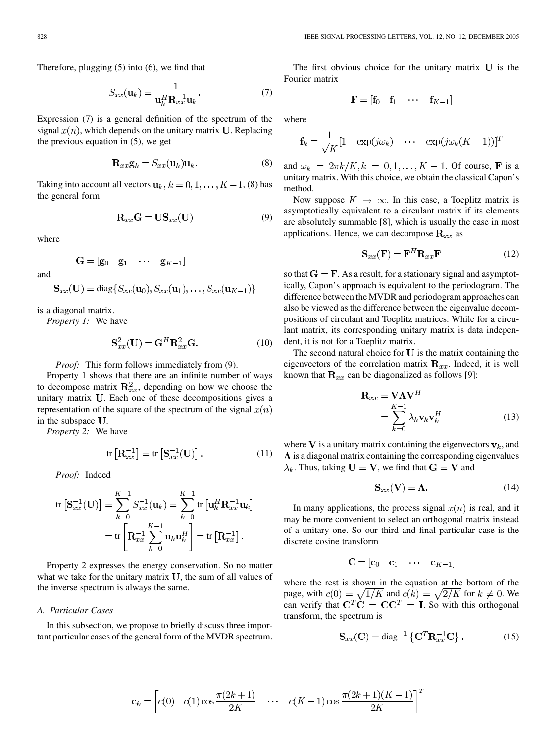Therefore, plugging (5) into (6), we find that

$$
S_{xx}(\mathbf{u}_k) = \frac{1}{\mathbf{u}_k^H \mathbf{R}_{xx}^{-1} \mathbf{u}_k}.
$$
 (7)

Expression (7) is a general definition of the spectrum of the signal  $x(n)$ , which depends on the unitary matrix U. Replacing the previous equation in (5), we get

$$
\mathbf{R}_{xx}\mathbf{g}_k = S_{xx}(\mathbf{u}_k)\mathbf{u}_k. \tag{8}
$$

Taking into account all vectors  $\mathbf{u}_k$ ,  $k = 0, 1, \dots, K - 1$ , (8) has the general form

$$
\mathbf{R}_{xx}\mathbf{G} = \mathbf{U}\mathbf{S}_{xx}(\mathbf{U})\tag{9}
$$

where

and

$$
\mathbf{G} = [\mathbf{g}_0 \quad \mathbf{g}_1 \quad \cdots \quad \mathbf{g}_{K-1}]
$$
  

$$
\mathbf{S}_{xx}(\mathbf{U}) = \text{diag}\{S_{xx}(\mathbf{u}_0), S_{xx}(\mathbf{u}_1), \dots, S_{xx}(\mathbf{u}_{K-1})\}
$$

is a diagonal matrix. *Property 1:* We have

$$
\mathbf{S}_{xx}^2(\mathbf{U}) = \mathbf{G}^H \mathbf{R}_{xx}^2 \mathbf{G}.
$$
 (10)

*Proof:* This form follows immediately from (9).

Property 1 shows that there are an infinite number of ways to decompose matrix  $\mathbb{R}^2_{xx}$ , depending on how we choose the unitary matrix U. Each one of these decompositions gives a representation of the square of the spectrum of the signal  $x(n)$ in the subspace  $U$ .

*Property 2:* We have

$$
\text{tr}\left[\mathbf{R}_{xx}^{-1}\right] = \text{tr}\left[\mathbf{S}_{xx}^{-1}(\mathbf{U})\right].\tag{11}
$$

*Proof:* Indeed

$$
\operatorname{tr}\left[\mathbf{S}_{xx}^{-1}(\mathbf{U})\right] = \sum_{k=0}^{K-1} S_{xx}^{-1}(\mathbf{u}_k) = \sum_{k=0}^{K-1} \operatorname{tr}\left[\mathbf{u}_k^H \mathbf{R}_{xx}^{-1} \mathbf{u}_k\right]
$$

$$
= \operatorname{tr}\left[\mathbf{R}_{xx}^{-1} \sum_{k=0}^{K-1} \mathbf{u}_k \mathbf{u}_k^H\right] = \operatorname{tr}\left[\mathbf{R}_{xx}^{-1}\right].
$$

Property 2 expresses the energy conservation. So no matter what we take for the unitary matrix  $U$ , the sum of all values of the inverse spectrum is always the same.

#### *A. Particular Cases*

In this subsection, we propose to briefly discuss three important particular cases of the general form of the MVDR spectrum.

The first obvious choice for the unitary matrix  $U$  is the Fourier matrix

$$
\mathbf{F} = \left[\begin{matrix} \mathbf{f}_0 & \mathbf{f}_1 & \cdots & \mathbf{f}_{K-1} \end{matrix}\right]
$$

where

$$
\mathbf{f}_k = \frac{1}{\sqrt{K}} [1 \quad \exp(j\omega_k) \quad \cdots \quad \exp(j\omega_k(K-1))]^T
$$

and  $\omega_k = 2\pi k/K$ ,  $k = 0, 1, \ldots, K - 1$ . Of course, **F** is a unitary matrix. With this choice, we obtain the classical Capon's method.

Now suppose  $K \to \infty$ . In this case, a Toeplitz matrix is asymptotically equivalent to a circulant matrix if its elements are absolutely summable [\[8\]](#page-3-0), which is usually the case in most applications. Hence, we can decompose  $\mathbf{R}_{xx}$  as

$$
\mathbf{S}_{xx}(\mathbf{F}) = \mathbf{F}^H \mathbf{R}_{xx} \mathbf{F} \tag{12}
$$

so that  $G = F$ . As a result, for a stationary signal and asymptotically, Capon's approach is equivalent to the periodogram. The difference between the MVDR and periodogram approaches can also be viewed as the difference between the eigenvalue decompositions of circulant and Toeplitz matrices. While for a circulant matrix, its corresponding unitary matrix is data independent, it is not for a Toeplitz matrix.

The second natural choice for  $U$  is the matrix containing the eigenvectors of the correlation matrix  $\mathbf{R}_{xx}$ . Indeed, it is well known that  $\mathbf{R}_{xx}$  can be diagonalized as follows [[9\]](#page-3-0):

$$
\mathbf{R}_{xx} = \mathbf{V}\mathbf{\Lambda}\mathbf{V}^H
$$
  
= 
$$
\sum_{k=0}^{K-1} \lambda_k \mathbf{v}_k \mathbf{v}_k^H
$$
 (13)

where V is a unitary matrix containing the eigenvectors  $v_k$ , and  $\Lambda$  is a diagonal matrix containing the corresponding eigenvalues  $\lambda_k$ . Thus, taking  $U = V$ , we find that  $G = V$  and

$$
S_{xx}(V) = \Lambda. \tag{14}
$$

In many applications, the process signal  $x(n)$  is real, and it may be more convenient to select an orthogonal matrix instead of a unitary one. So our third and final particular case is the discrete cosine transform

$$
\mathbf{C} = \begin{bmatrix} \mathbf{c}_0 & \mathbf{c}_1 & \cdots & \mathbf{c}_{K-1} \end{bmatrix}
$$

where the rest is shown in the equation at the bottom of the page, with  $c(0) = \sqrt{1/K}$  and  $c(k) = \sqrt{2/K}$  for  $k \neq 0$ . We can verify that  $C^{T}C = CC^{T} = I$ . So with this orthogonal transform, the spectrum is

$$
\mathbf{S}_{xx}(\mathbf{C}) = \text{diag}^{-1} \left\{ \mathbf{C}^T \mathbf{R}_{xx}^{-1} \mathbf{C} \right\}. \tag{15}
$$

$$
\mathbf{c}_{k} = \begin{bmatrix} c(0) & c(1)\cos\frac{\pi(2k+1)}{2K} & \cdots & c(K-1)\cos\frac{\pi(2k+1)(K-1)}{2K} \end{bmatrix}^{T}
$$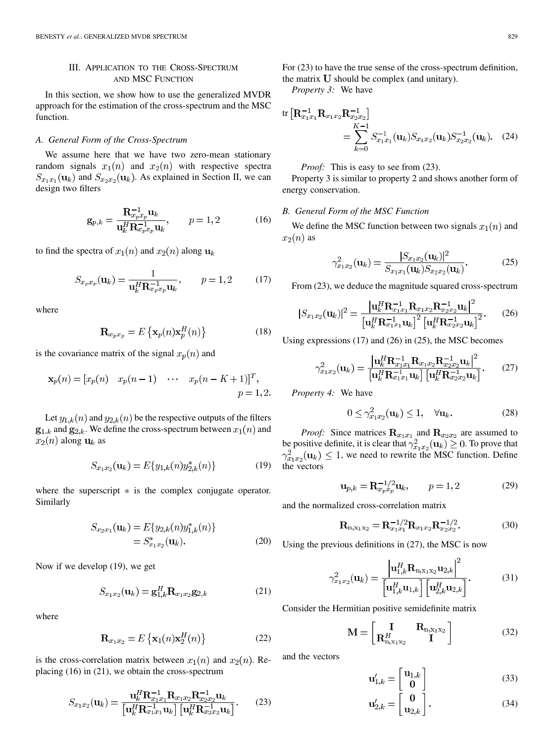## III. APPLICATION TO THE CROSS-SPECTRUM AND MSC FUNCTION

In this section, we show how to use the generalized MVDR approach for the estimation of the cross-spectrum and the MSC function.

## *A. General Form of the Cross-Spectrum*

We assume here that we have two zero-mean stationary random signals  $x_1(n)$  and  $x_2(n)$  with respective spectra  $S_{x_1x_1}(\mathbf{u}_k)$  and  $S_{x_2x_2}(\mathbf{u}_k)$ . As explained in Section II, we can design two filters

$$
\mathbf{g}_{p,k} = \frac{\mathbf{R}_{x_p}^{-1} \mathbf{u}_k}{\mathbf{u}_k^H \mathbf{R}_{x_p}^{-1} \mathbf{u}_k}, \qquad p = 1, 2 \tag{16}
$$

to find the spectra of  $x_1(n)$  and  $x_2(n)$  along  $\mathbf{u}_k$ 

$$
S_{x_p x_p}(\mathbf{u}_k) = \frac{1}{\mathbf{u}_k^H \mathbf{R}_{x_p x_p}^{-1} \mathbf{u}_k}, \qquad p = 1, 2 \tag{17}
$$

where

$$
\mathbf{R}_{x_p x_p} = E\left\{ \mathbf{x}_p(n) \mathbf{x}_p^H(n) \right\}
$$
 (18)

is the covariance matrix of the signal  $x_p(n)$  and

$$
\mathbf{x}_p(n) = [x_p(n) \quad x_p(n-1) \quad \cdots \quad x_p(n-K+1)]^T,
$$
  
\n $p = 1,2$ 

Let  $y_{1,k}(n)$  and  $y_{2,k}(n)$  be the respective outputs of the filters  $\mathbf{g}_{1,k}$  and  $\mathbf{g}_{2,k}$ . We define the cross-spectrum between  $x_1(n)$  and  $x_2(n)$  along  $\mathbf{u}_k$  as

$$
S_{x_1x_2}(\mathbf{u}_k) = E\{y_{1,k}(n)y_{2,k}^*(n)\}\tag{19}
$$

where the superscript  $*$  is the complex conjugate operator. Similarly

$$
S_{x_2x_1}(\mathbf{u}_k) = E\{y_{2,k}(n)y_{1,k}^*(n)\}
$$
  
=  $S_{x_1x_2}^*(\mathbf{u}_k)$ . (20)

Now if we develop (19), we get

$$
S_{x_1x_2}(\mathbf{u}_k) = \mathbf{g}_{1,k}^H \mathbf{R}_{x_1x_2} \mathbf{g}_{2,k}
$$
 (21)

where

$$
\mathbf{R}_{x_1x_2} = E\left\{ \mathbf{x}_1(n)\mathbf{x}_2^H(n) \right\} \tag{22}
$$

is the cross-correlation matrix between  $x_1(n)$  and  $x_2(n)$ . Replacing (16) in (21), we obtain the cross-spectrum

$$
S_{x_1x_2}(\mathbf{u}_k) = \frac{\mathbf{u}_k^H \mathbf{R}_{x_1x_1}^{-1} \mathbf{R}_{x_1x_2} \mathbf{R}_{x_2x_2}^{-1} \mathbf{u}_k}{\left[\mathbf{u}_k^H \mathbf{R}_{x_1x_1}^{-1} \mathbf{u}_k\right] \left[\mathbf{u}_k^H \mathbf{R}_{x_2x_2}^{-1} \mathbf{u}_k\right]}.
$$
 (23)

For (23) to have the true sense of the cross-spectrum definition, the matrix  **should be complex (and unitary).** 

*Property 3:* We have

$$
\text{tr}\left[\mathbf{R}_{x_1x_1}^{-1}\mathbf{R}_{x_1x_2}\mathbf{R}_{x_2x_2}^{-1}\right] = \sum_{k=0}^{K-1} S_{x_1x_1}^{-1}(\mathbf{u}_k)S_{x_1x_2}(\mathbf{u}_k)S_{x_2x_2}^{-1}(\mathbf{u}_k). \quad (24)
$$

*Proof:* This is easy to see from (23).

Property 3 is similar to property 2 and shows another form of energy conservation.

## *B. General Form of the MSC Function*

We define the MSC function between two signals  $x_1(n)$  and  $x_2(n)$  as

$$
\gamma_{x_1x_2}^2(\mathbf{u}_k) = \frac{|S_{x_1x_2}(\mathbf{u}_k)|^2}{S_{x_1x_1}(\mathbf{u}_k)S_{x_2x_2}(\mathbf{u}_k)}.
$$
(25)

From (23), we deduce the magnitude squared cross-spectrum

$$
S_{x_1x_2}(\mathbf{u}_k)|^2 = \frac{\left|\mathbf{u}_k^H \mathbf{R}_{x_1x_1}^{-1} \mathbf{R}_{x_1x_2} \mathbf{R}_{x_2x_2}^{-1} \mathbf{u}_k\right|^2}{\left[\mathbf{u}_k^H \mathbf{R}_{x_1x_1}^{-1} \mathbf{u}_k\right]^2 \left[\mathbf{u}_k^H \mathbf{R}_{x_2x_2}^{-1} \mathbf{u}_k\right]^2}.
$$
 (26)

Using expressions (17) and (26) in (25), the MSC becomes

$$
\gamma_{x_1x_2}^2(\mathbf{u}_k) = \frac{\left|\mathbf{u}_k^H \mathbf{R}_{x_1x_1}^{-1} \mathbf{R}_{x_1x_2} \mathbf{R}_{x_2x_2}^{-1} \mathbf{u}_k\right|^2}{\left[\mathbf{u}_k^H \mathbf{R}_{x_1x_1}^{-1} \mathbf{u}_k\right] \left[\mathbf{u}_k^H \mathbf{R}_{x_2x_2}^{-1} \mathbf{u}_k\right]}.
$$
 (27)

*Property 4:* We have

 $\overline{\phantom{a}}$ 

$$
0 \le \gamma_{x_1 x_2}^2(\mathbf{u}_k) \le 1, \quad \forall \mathbf{u}_k. \tag{28}
$$

*Proof:* Since matrices  $\mathbf{R}_{x_1x_1}$  and  $\mathbf{R}_{x_2x_2}$  are assumed to be positive definite, it is clear that  $\gamma_{x_1x_2}^2(\mathbf{u}_k) \geq 0$ . To prove that , we need to rewrite the MSC function. Define the vectors

$$
\mathbf{u}_{p,k} = \mathbf{R}_{x_p x_p}^{-1/2} \mathbf{u}_k, \qquad p = 1,2 \tag{29}
$$

and the normalized cross-correlation matrix

$$
\mathbf{R}_{n,x_1x_2} = \mathbf{R}_{x_1x_1}^{-1/2} \mathbf{R}_{x_1x_2} \mathbf{R}_{x_2x_2}^{-1/2}.
$$
 (30)

Using the previous definitions in (27), the MSC is now

$$
\gamma_{x_1x_2}^2(\mathbf{u}_k) = \frac{\left|\mathbf{u}_{1,k}^H \mathbf{R}_{n,x_1x_2} \mathbf{u}_{2,k}\right|^2}{\left[\mathbf{u}_{1,k}^H \mathbf{u}_{1,k}\right] \left[\mathbf{u}_{2,k}^H \mathbf{u}_{2,k}\right]}.
$$
(31)

Consider the Hermitian positive semidefinite matrix

$$
\mathbf{M} = \begin{bmatrix} \mathbf{I} & \mathbf{R}_{n, x_1 x_2} \\ \mathbf{R}_{n, x_1 x_2}^H & \mathbf{I} \end{bmatrix}
$$
 (32)

and the vectors

$$
\mathbf{u}_{1,k}' = \begin{bmatrix} \mathbf{u}_{1,k} \\ \mathbf{0} \end{bmatrix} \tag{33}
$$

$$
\mathbf{u}'_{2,k} = \begin{bmatrix} \mathbf{0} \\ \mathbf{u}_{2,k} \end{bmatrix} . \tag{34}
$$